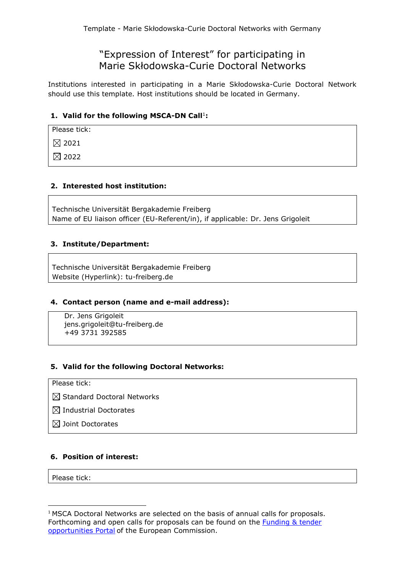# "Expression of Interest" for participating in Marie Skłodowska-Curie Doctoral Networks

Institutions interested in participating in a Marie Skłodowska-Curie Doctoral Network should use this template. Host institutions should be located in Germany.

## 1. Valid for the following MSCA-DN Call<sup>1</sup>:

Please tick:

 $\boxtimes$  2021

 $\boxtimes$  2022

## **2. Interested host institution:**

Technische Universität Bergakademie Freiberg Name of EU liaison officer (EU-Referent/in), if applicable: Dr. Jens Grigoleit

## **3. Institute/Department:**

Technische Universität Bergakademie Freiberg Website (Hyperlink): tu-freiberg.de

#### **4. Contact person (name and e-mail address):**

Dr. Jens Grigoleit jens.grigoleit@tu-freiberg.de +49 3731 392585

#### **5. Valid for the following Doctoral Networks:**

#### Please tick:

 $\boxtimes$  Standard Doctoral Networks

 $\boxtimes$  Industrial Doctorates

 $\boxtimes$  Joint Doctorates

#### **6. Position of interest:**

Please tick:

**.** 

<sup>&</sup>lt;sup>1</sup> MSCA Doctoral Networks are selected on the basis of annual calls for proposals. Forthcoming and open calls for proposals can be found on the **Funding & tender** [opportunities Portal](https://ec.europa.eu/info/funding-tenders/opportunities/portal/screen/home) of the European Commission.